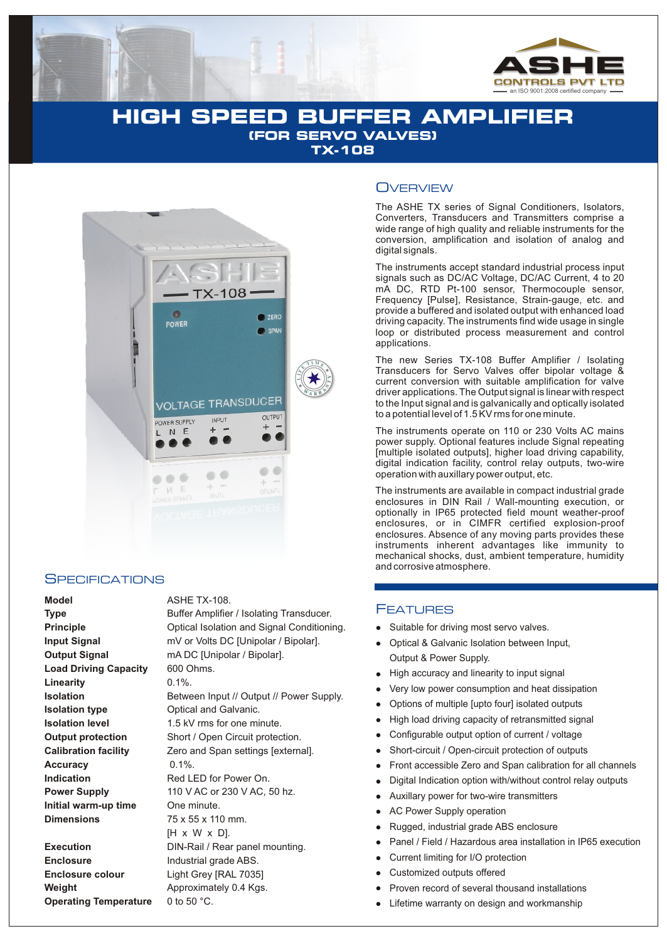

# **HIGH SPEED BUFFER AMPLIFIER (FOR SERVO VALVES) TX-108**



### **SPECIFICATIONS**

Model **Model** ASHE TX-108. Load Driving Capacity 600 Ohms. **Linearity** 0.1%. **Isolation type Optical and Galvanic. Accuracy** 0.1%. **Initial warm-up time** One minute. **Dimensions** 75 x 55 x 110 mm.

**Enclosure Industrial grade ABS. Enclosure colour** Light Grey [RAL 7035] **Weight Approximately 0.4 Kgs. Operating Temperature** 0 to 50 °C.

**Type** Buffer Amplifier / Isolating Transducer. **Principle Condition Condition** Optical Isolation and Signal Conditioning. **Input Signal https://** mV or Volts DC [Unipolar / Bipolar]. **Output Signal mA DC [Unipolar / Bipolar]. Isolation Between Input // Output // Power Supply. Isolation level** 1.5 kV rms for one minute. **Output protection** Short / Open Circuit protection. **Calibration facility** Zero and Span settings [external]. **Indication Red LED** for Power On. **Power Supply** 110 V AC or 230 V AC, 50 hz. [H x W x D]. **Execution** DIN-Rail / Rear panel mounting.

#### **OVERVIEW**

The ASHE TX series of Signal Conditioners, Isolators, Converters, Transducers and Transmitters comprise a wide range of high quality and reliable instruments for the conversion, amplification and isolation of analog and digital signals.

The instruments accept standard industrial process input signals such as DC/AC Voltage, DC/AC Current, 4 to 20 mA DC, RTD Pt-100 sensor, Thermocouple sensor, Frequency [Pulse], Resistance, Strain-gauge, etc. and provide a buffered and isolated output with enhanced load driving capacity. The instruments find wide usage in single loop or distributed process measurement and control applications.

The new Series TX-108 Buffer Amplifier / Isolating Transducers for Servo Valves offer bipolar voltage & current conversion with suitable amplification for valve driver applications. The Output signal is linear with respect to the Input signal and is galvanically and optically isolated to a potential level of 1.5 KV rms for one minute.

The instruments operate on 110 or 230 Volts AC mains power supply. Optional features include Signal repeating [multiple isolated outputs], higher load driving capability, digital indication facility, control relay outputs, two-wire operation with auxillary power output, etc.

The instruments are available in compact industrial grade enclosures in DIN Rail / Wall-mounting execution, or optionally in IP65 protected field mount weather-proof enclosures, or in CIMFR certified explosion-proof enclosures. Absence of any moving parts provides these instruments inherent advantages like immunity to mechanical shocks, dust, ambient temperature, humidity and corrosive atmosphere.

#### **FEATURES**

- Suitable for driving most servo valves.
- Suitable for driving most servo valves.<br>● Optical & Galvanic Isolation between Input, Output & Power Supply.
- High accuracy and linearity to input signal
- Very low power consumption and heat dissipation
- llllllllllllllll Options of multiple [upto four] isolated outputs  $\bullet$
- High load driving capacity of retransmitted signal
- Configurable output option of current / voltage  $\bullet$
- Short-circuit / Open-circuit protection of outputs
- Front accessible Zero and Span calibration for all channels
- Digital Indication option with/without control relay outputs
- Auxillary power for two-wire transmitters
- AC Power Supply operation
- Rugged, industrial grade ABS enclosure
- Panel / Field / Hazardous area installation in IP65 execution  $\bullet$
- Current limiting for I/O protection
- Customized outputs offered
- Proven record of several thousand installations
- Lifetime warranty on design and workmanship